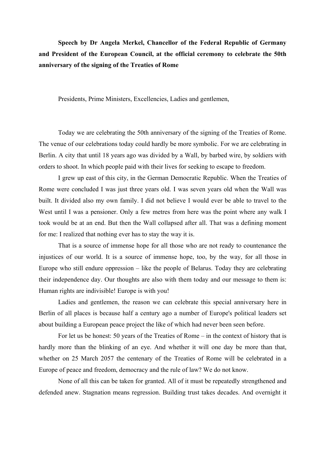**Speech by Dr Angela Merkel, Chancellor of the Federal Republic of Germany and President of the European Council, at the official ceremony to celebrate the 50th anniversary of the signing of the Treaties of Rome** 

Presidents, Prime Ministers, Excellencies, Ladies and gentlemen,

Today we are celebrating the 50th anniversary of the signing of the Treaties of Rome. The venue of our celebrations today could hardly be more symbolic. For we are celebrating in Berlin. A city that until 18 years ago was divided by a Wall, by barbed wire, by soldiers with orders to shoot. In which people paid with their lives for seeking to escape to freedom.

I grew up east of this city, in the German Democratic Republic. When the Treaties of Rome were concluded I was just three years old. I was seven years old when the Wall was built. It divided also my own family. I did not believe I would ever be able to travel to the West until I was a pensioner. Only a few metres from here was the point where any walk I took would be at an end. But then the Wall collapsed after all. That was a defining moment for me: I realized that nothing ever has to stay the way it is.

That is a source of immense hope for all those who are not ready to countenance the injustices of our world. It is a source of immense hope, too, by the way, for all those in Europe who still endure oppression – like the people of Belarus. Today they are celebrating their independence day. Our thoughts are also with them today and our message to them is: Human rights are indivisible! Europe is with you!

Ladies and gentlemen, the reason we can celebrate this special anniversary here in Berlin of all places is because half a century ago a number of Europe's political leaders set about building a European peace project the like of which had never been seen before.

For let us be honest: 50 years of the Treaties of Rome – in the context of history that is hardly more than the blinking of an eye. And whether it will one day be more than that, whether on 25 March 2057 the centenary of the Treaties of Rome will be celebrated in a Europe of peace and freedom, democracy and the rule of law? We do not know.

None of all this can be taken for granted. All of it must be repeatedly strengthened and defended anew. Stagnation means regression. Building trust takes decades. And overnight it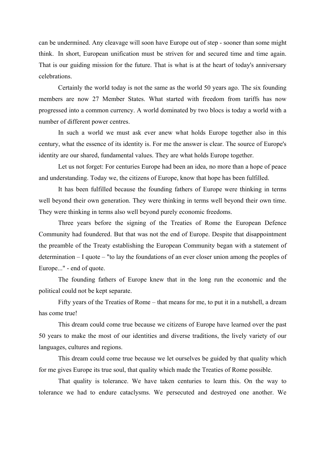can be undermined. Any cleavage will soon have Europe out of step - sooner than some might think. In short, European unification must be striven for and secured time and time again. That is our guiding mission for the future. That is what is at the heart of today's anniversary celebrations.

Certainly the world today is not the same as the world 50 years ago. The six founding members are now 27 Member States. What started with freedom from tariffs has now progressed into a common currency. A world dominated by two blocs is today a world with a number of different power centres.

In such a world we must ask ever anew what holds Europe together also in this century, what the essence of its identity is. For me the answer is clear. The source of Europe's identity are our shared, fundamental values. They are what holds Europe together.

Let us not forget: For centuries Europe had been an idea, no more than a hope of peace and understanding. Today we, the citizens of Europe, know that hope has been fulfilled.

It has been fulfilled because the founding fathers of Europe were thinking in terms well beyond their own generation. They were thinking in terms well beyond their own time. They were thinking in terms also well beyond purely economic freedoms.

Three years before the signing of the Treaties of Rome the European Defence Community had foundered. But that was not the end of Europe. Despite that disappointment the preamble of the Treaty establishing the European Community began with a statement of determination – I quote – "to lay the foundations of an ever closer union among the peoples of Europe..." - end of quote.

The founding fathers of Europe knew that in the long run the economic and the political could not be kept separate.

Fifty years of the Treaties of Rome – that means for me, to put it in a nutshell, a dream has come true!

This dream could come true because we citizens of Europe have learned over the past 50 years to make the most of our identities and diverse traditions, the lively variety of our languages, cultures and regions.

This dream could come true because we let ourselves be guided by that quality which for me gives Europe its true soul, that quality which made the Treaties of Rome possible.

That quality is tolerance. We have taken centuries to learn this. On the way to tolerance we had to endure cataclysms. We persecuted and destroyed one another. We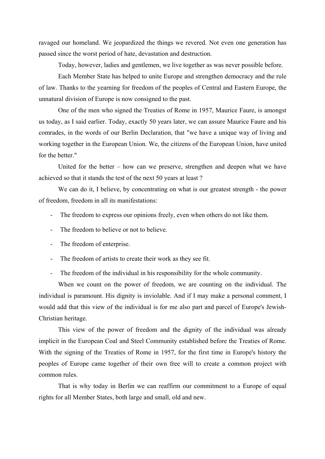ravaged our homeland. We jeopardized the things we revered. Not even one generation has passed since the worst period of hate, devastation and destruction.

Today, however, ladies and gentlemen, we live together as was never possible before.

Each Member State has helped to unite Europe and strengthen democracy and the rule of law. Thanks to the yearning for freedom of the peoples of Central and Eastern Europe, the unnatural division of Europe is now consigned to the past.

One of the men who signed the Treaties of Rome in 1957, Maurice Faure, is amongst us today, as I said earlier. Today, exactly 50 years later, we can assure Maurice Faure and his comrades, in the words of our Berlin Declaration, that "we have a unique way of living and working together in the European Union. We, the citizens of the European Union, have united for the better."

United for the better – how can we preserve, strengthen and deepen what we have achieved so that it stands the test of the next 50 years at least ?

We can do it, I believe, by concentrating on what is our greatest strength - the power of freedom, freedom in all its manifestations:

- The freedom to express our opinions freely, even when others do not like them.
- The freedom to believe or not to believe.
- The freedom of enterprise.
- The freedom of artists to create their work as they see fit.
- The freedom of the individual in his responsibility for the whole community.

When we count on the power of freedom, we are counting on the individual. The individual is paramount. His dignity is inviolable. And if I may make a personal comment, I would add that this view of the individual is for me also part and parcel of Europe's Jewish-Christian heritage.

This view of the power of freedom and the dignity of the individual was already implicit in the European Coal and Steel Community established before the Treaties of Rome. With the signing of the Treaties of Rome in 1957, for the first time in Europe's history the peoples of Europe came together of their own free will to create a common project with common rules.

That is why today in Berlin we can reaffirm our commitment to a Europe of equal rights for all Member States, both large and small, old and new.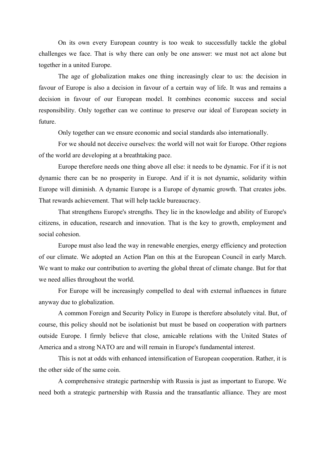On its own every European country is too weak to successfully tackle the global challenges we face. That is why there can only be one answer: we must not act alone but together in a united Europe.

The age of globalization makes one thing increasingly clear to us: the decision in favour of Europe is also a decision in favour of a certain way of life. It was and remains a decision in favour of our European model. It combines economic success and social responsibility. Only together can we continue to preserve our ideal of European society in future.

Only together can we ensure economic and social standards also internationally.

For we should not deceive ourselves: the world will not wait for Europe. Other regions of the world are developing at a breathtaking pace.

Europe therefore needs one thing above all else: it needs to be dynamic. For if it is not dynamic there can be no prosperity in Europe. And if it is not dynamic, solidarity within Europe will diminish. A dynamic Europe is a Europe of dynamic growth. That creates jobs. That rewards achievement. That will help tackle bureaucracy.

That strengthens Europe's strengths. They lie in the knowledge and ability of Europe's citizens, in education, research and innovation. That is the key to growth, employment and social cohesion.

Europe must also lead the way in renewable energies, energy efficiency and protection of our climate. We adopted an Action Plan on this at the European Council in early March. We want to make our contribution to averting the global threat of climate change. But for that we need allies throughout the world.

For Europe will be increasingly compelled to deal with external influences in future anyway due to globalization.

A common Foreign and Security Policy in Europe is therefore absolutely vital. But, of course, this policy should not be isolationist but must be based on cooperation with partners outside Europe. I firmly believe that close, amicable relations with the United States of America and a strong NATO are and will remain in Europe's fundamental interest.

This is not at odds with enhanced intensification of European cooperation. Rather, it is the other side of the same coin.

A comprehensive strategic partnership with Russia is just as important to Europe. We need both a strategic partnership with Russia and the transatlantic alliance. They are most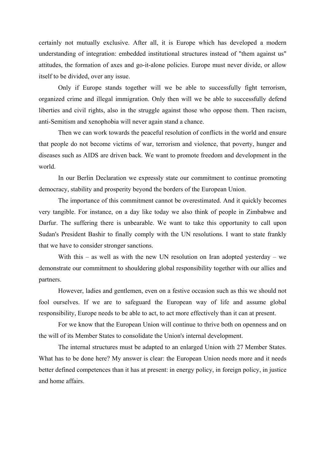certainly not mutually exclusive. After all, it is Europe which has developed a modern understanding of integration: embedded institutional structures instead of "them against us" attitudes, the formation of axes and go-it-alone policies. Europe must never divide, or allow itself to be divided, over any issue.

Only if Europe stands together will we be able to successfully fight terrorism, organized crime and illegal immigration. Only then will we be able to successfully defend liberties and civil rights, also in the struggle against those who oppose them. Then racism, anti-Semitism and xenophobia will never again stand a chance.

Then we can work towards the peaceful resolution of conflicts in the world and ensure that people do not become victims of war, terrorism and violence, that poverty, hunger and diseases such as AIDS are driven back. We want to promote freedom and development in the world.

In our Berlin Declaration we expressly state our commitment to continue promoting democracy, stability and prosperity beyond the borders of the European Union.

The importance of this commitment cannot be overestimated. And it quickly becomes very tangible. For instance, on a day like today we also think of people in Zimbabwe and Darfur. The suffering there is unbearable. We want to take this opportunity to call upon Sudan's President Bashir to finally comply with the UN resolutions. I want to state frankly that we have to consider stronger sanctions.

With this – as well as with the new UN resolution on Iran adopted yesterday – we demonstrate our commitment to shouldering global responsibility together with our allies and partners.

However, ladies and gentlemen, even on a festive occasion such as this we should not fool ourselves. If we are to safeguard the European way of life and assume global responsibility, Europe needs to be able to act, to act more effectively than it can at present.

For we know that the European Union will continue to thrive both on openness and on the will of its Member States to consolidate the Union's internal development.

The internal structures must be adapted to an enlarged Union with 27 Member States. What has to be done here? My answer is clear: the European Union needs more and it needs better defined competences than it has at present: in energy policy, in foreign policy, in justice and home affairs.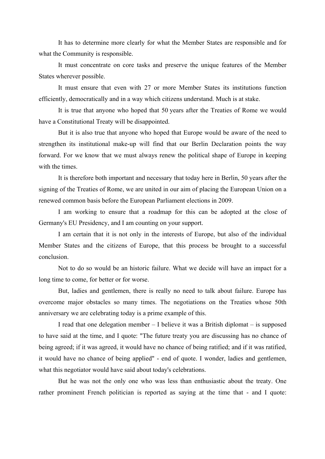It has to determine more clearly for what the Member States are responsible and for what the Community is responsible.

It must concentrate on core tasks and preserve the unique features of the Member States wherever possible.

It must ensure that even with 27 or more Member States its institutions function efficiently, democratically and in a way which citizens understand. Much is at stake.

It is true that anyone who hoped that 50 years after the Treaties of Rome we would have a Constitutional Treaty will be disappointed.

But it is also true that anyone who hoped that Europe would be aware of the need to strengthen its institutional make-up will find that our Berlin Declaration points the way forward. For we know that we must always renew the political shape of Europe in keeping with the times.

It is therefore both important and necessary that today here in Berlin, 50 years after the signing of the Treaties of Rome, we are united in our aim of placing the European Union on a renewed common basis before the European Parliament elections in 2009.

I am working to ensure that a roadmap for this can be adopted at the close of Germany's EU Presidency, and I am counting on your support.

I am certain that it is not only in the interests of Europe, but also of the individual Member States and the citizens of Europe, that this process be brought to a successful conclusion.

Not to do so would be an historic failure. What we decide will have an impact for a long time to come, for better or for worse.

But, ladies and gentlemen, there is really no need to talk about failure. Europe has overcome major obstacles so many times. The negotiations on the Treaties whose 50th anniversary we are celebrating today is a prime example of this.

I read that one delegation member – I believe it was a British diplomat – is supposed to have said at the time, and I quote: "The future treaty you are discussing has no chance of being agreed; if it was agreed, it would have no chance of being ratified; and if it was ratified, it would have no chance of being applied" - end of quote. I wonder, ladies and gentlemen, what this negotiator would have said about today's celebrations.

But he was not the only one who was less than enthusiastic about the treaty. One rather prominent French politician is reported as saying at the time that - and I quote: